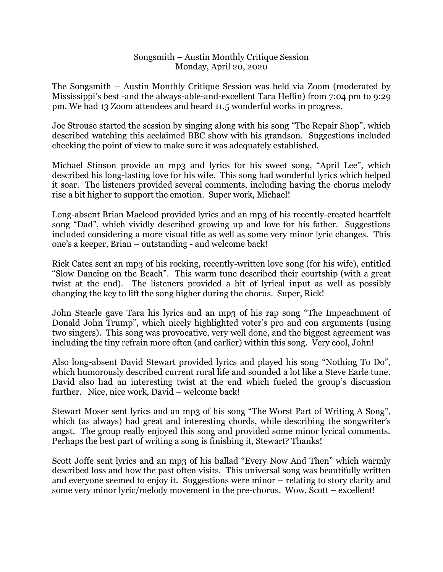## Songsmith – Austin Monthly Critique Session Monday, April 20, 2020

The Songsmith – Austin Monthly Critique Session was held via Zoom (moderated by Mississippi's best -and the always-able-and-excellent Tara Heflin) from 7:04 pm to 9:29 pm. We had 13 Zoom attendees and heard 11.5 wonderful works in progress.

Joe Strouse started the session by singing along with his song "The Repair Shop", which described watching this acclaimed BBC show with his grandson. Suggestions included checking the point of view to make sure it was adequately established.

Michael Stinson provide an mp3 and lyrics for his sweet song, "April Lee", which described his long-lasting love for his wife. This song had wonderful lyrics which helped it soar. The listeners provided several comments, including having the chorus melody rise a bit higher to support the emotion. Super work, Michael!

Long-absent Brian Macleod provided lyrics and an mp3 of his recently-created heartfelt song "Dad", which vividly described growing up and love for his father. Suggestions included considering a more visual title as well as some very minor lyric changes. This one's a keeper, Brian – outstanding - and welcome back!

Rick Cates sent an mp3 of his rocking, recently-written love song (for his wife), entitled "Slow Dancing on the Beach". This warm tune described their courtship (with a great twist at the end). The listeners provided a bit of lyrical input as well as possibly changing the key to lift the song higher during the chorus. Super, Rick!

John Stearle gave Tara his lyrics and an mp3 of his rap song "The Impeachment of Donald John Trump", which nicely highlighted voter's pro and con arguments (using two singers). This song was provocative, very well done, and the biggest agreement was including the tiny refrain more often (and earlier) within this song. Very cool, John!

Also long-absent David Stewart provided lyrics and played his song "Nothing To Do", which humorously described current rural life and sounded a lot like a Steve Earle tune. David also had an interesting twist at the end which fueled the group's discussion further. Nice, nice work, David – welcome back!

Stewart Moser sent lyrics and an mp3 of his song "The Worst Part of Writing A Song", which (as always) had great and interesting chords, while describing the songwriter's angst. The group really enjoyed this song and provided some minor lyrical comments. Perhaps the best part of writing a song is finishing it, Stewart? Thanks!

Scott Joffe sent lyrics and an mp3 of his ballad "Every Now And Then" which warmly described loss and how the past often visits. This universal song was beautifully written and everyone seemed to enjoy it. Suggestions were minor – relating to story clarity and some very minor lyric/melody movement in the pre-chorus. Wow, Scott – excellent!